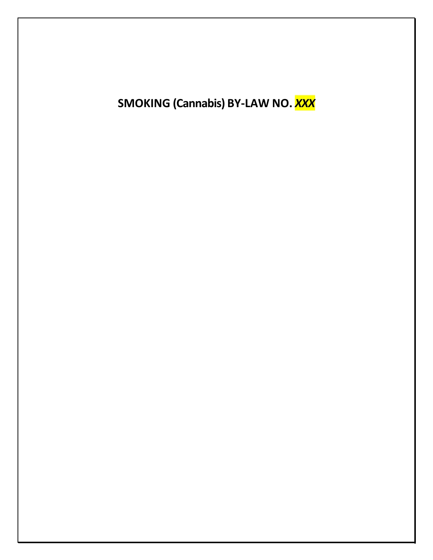SMOKING (Cannabis) BY-LAW NO. XXX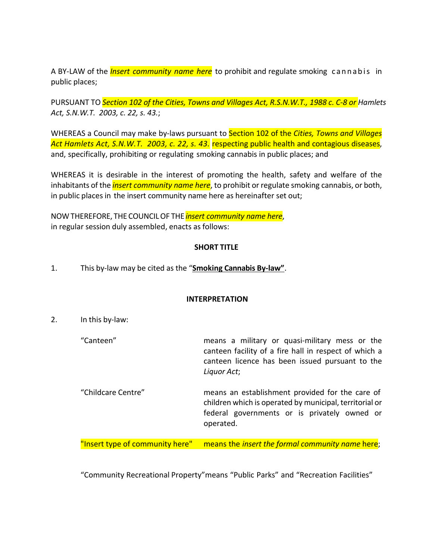A BY-LAW of the *Insert community name here* to prohibit and regulate smoking cannabis in public places;

PURSUANT TO *Section 102 of the Cities, Towns and Villages Act, R.S.N.W.T., 1988 c. C‐8 or Hamlets Act, S.N.W.T. 2003, c. 22, s. 43.*;

WHEREAS a Council may make by‐laws pursuant to Section 102 of the *Cities, Towns and Villages Act Hamlets Act, S.N.W.T. 2003, c. 22, s. 43.* respecting public health and contagious diseases, and, specifically, prohibiting or regulating smoking cannabis in public places; and

WHEREAS it is desirable in the interest of promoting the health, safety and welfare of the inhabitants of the *insert community name here*, to prohibit or regulate smoking cannabis, or both, in public places in the insert community name here as hereinafter set out;

NOWTHEREFORE, THE COUNCILOF THE *insert community name here*, in regular session duly assembled, enacts as follows:

## **SHORT TITLE**

1. This by‐law may be cited as the "**Smoking Cannabis By‐law"**.

## **INTERPRETATION**

- 2. In this by‐law:
	- "Canteen" means a military or quasi‐military mess or the canteen facility of a fire hall in respect of which a canteen licence has been issued pursuant to the *Liquor Act*;
	- "Childcare Centre" means an establishment provided for the care of children which is operated by municipal, territorial or federal governments or is privately owned or operated.

"Insert type of community here" means the *insert the formal community name* here;

"Community Recreational Property"means "Public Parks" and "Recreation Facilities"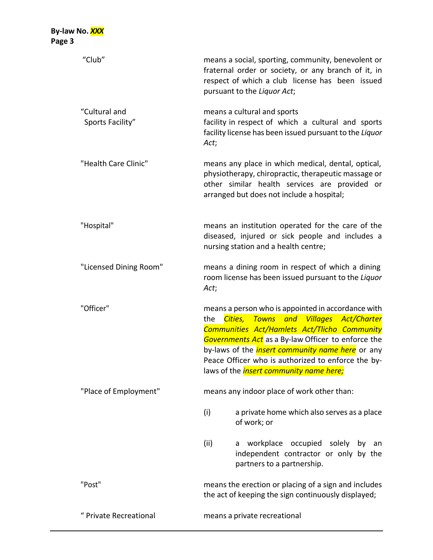| "Club"                            | means a social, sporting, community, benevolent or<br>fraternal order or society, or any branch of it, in<br>respect of which a club license has been issued<br>pursuant to the Liquor Act;                                                                                                                                                                                  |  |  |
|-----------------------------------|------------------------------------------------------------------------------------------------------------------------------------------------------------------------------------------------------------------------------------------------------------------------------------------------------------------------------------------------------------------------------|--|--|
| "Cultural and<br>Sports Facility" | means a cultural and sports<br>facility in respect of which a cultural and sports<br>facility license has been issued pursuant to the Liquor<br>Act;                                                                                                                                                                                                                         |  |  |
| "Health Care Clinic"              | means any place in which medical, dental, optical,<br>physiotherapy, chiropractic, therapeutic massage or<br>other similar health services are provided or<br>arranged but does not include a hospital;                                                                                                                                                                      |  |  |
| "Hospital"                        | means an institution operated for the care of the<br>diseased, injured or sick people and includes a<br>nursing station and a health centre;                                                                                                                                                                                                                                 |  |  |
| "Licensed Dining Room"            | means a dining room in respect of which a dining<br>room license has been issued pursuant to the Liquor<br>Act;                                                                                                                                                                                                                                                              |  |  |
| "Officer"                         | means a person who is appointed in accordance with<br>Cities, Towns and Villages Act/Charter<br>the<br>Communities Act/Hamlets Act/Tlicho Community<br>Governments Act as a By-law Officer to enforce the<br>by-laws of the <i>insert community name here</i> or any<br>Peace Officer who is authorized to enforce the by-<br>laws of the <i>insert community name here;</i> |  |  |
| "Place of Employment"             | means any indoor place of work other than:                                                                                                                                                                                                                                                                                                                                   |  |  |
|                                   | (i)<br>a private home which also serves as a place<br>of work; or                                                                                                                                                                                                                                                                                                            |  |  |
|                                   | (iii)<br>workplace occupied solely by an<br>a<br>independent contractor or only by the<br>partners to a partnership.                                                                                                                                                                                                                                                         |  |  |
| "Post"                            | means the erection or placing of a sign and includes<br>the act of keeping the sign continuously displayed;                                                                                                                                                                                                                                                                  |  |  |
| " Private Recreational            | means a private recreational                                                                                                                                                                                                                                                                                                                                                 |  |  |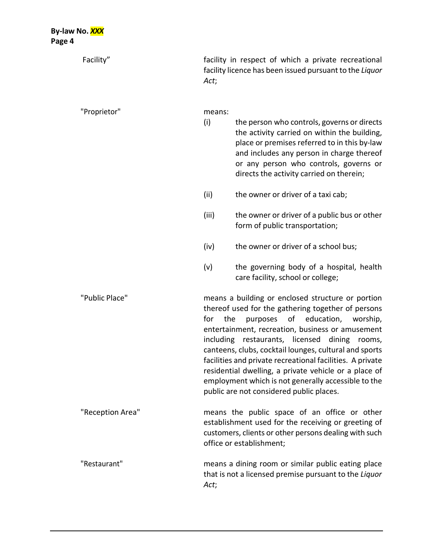| Facility"        | Act;          | facility in respect of which a private recreational<br>facility licence has been issued pursuant to the Liquor                                                                                                                                                                                                                                                                                                                                                                                                                                  |  |
|------------------|---------------|-------------------------------------------------------------------------------------------------------------------------------------------------------------------------------------------------------------------------------------------------------------------------------------------------------------------------------------------------------------------------------------------------------------------------------------------------------------------------------------------------------------------------------------------------|--|
| "Proprietor"     | means:<br>(i) | the person who controls, governs or directs<br>the activity carried on within the building,<br>place or premises referred to in this by-law<br>and includes any person in charge thereof<br>or any person who controls, governs or<br>directs the activity carried on therein;                                                                                                                                                                                                                                                                  |  |
|                  | (ii)          | the owner or driver of a taxi cab;                                                                                                                                                                                                                                                                                                                                                                                                                                                                                                              |  |
|                  | (iii)         | the owner or driver of a public bus or other<br>form of public transportation;                                                                                                                                                                                                                                                                                                                                                                                                                                                                  |  |
|                  | (iv)          | the owner or driver of a school bus;                                                                                                                                                                                                                                                                                                                                                                                                                                                                                                            |  |
|                  | (v)           | the governing body of a hospital, health<br>care facility, school or college;                                                                                                                                                                                                                                                                                                                                                                                                                                                                   |  |
| "Public Place"   | for           | means a building or enclosed structure or portion<br>thereof used for the gathering together of persons<br>education, worship,<br>purposes<br>of<br>the<br>entertainment, recreation, business or amusement<br>including restaurants, licensed dining rooms,<br>canteens, clubs, cocktail lounges, cultural and sports<br>facilities and private recreational facilities. A private<br>residential dwelling, a private vehicle or a place of<br>employment which is not generally accessible to the<br>public are not considered public places. |  |
| "Reception Area" |               | means the public space of an office or other<br>establishment used for the receiving or greeting of<br>customers, clients or other persons dealing with such<br>office or establishment;                                                                                                                                                                                                                                                                                                                                                        |  |
| "Restaurant"     | Act;          | means a dining room or similar public eating place<br>that is not a licensed premise pursuant to the Liquor                                                                                                                                                                                                                                                                                                                                                                                                                                     |  |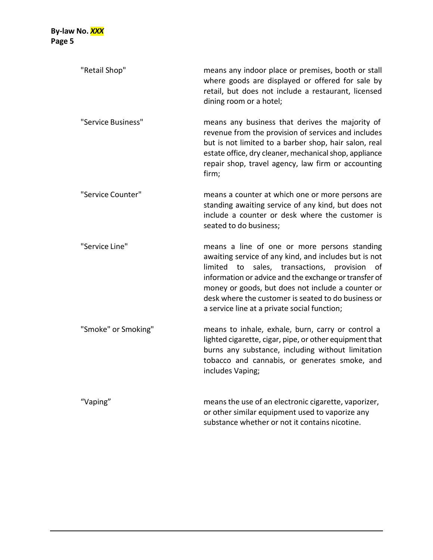| "Retail Shop"       | means any indoor place or premises, booth or stall<br>where goods are displayed or offered for sale by<br>retail, but does not include a restaurant, licensed<br>dining room or a hotel;                                                                                                                                                                                               |
|---------------------|----------------------------------------------------------------------------------------------------------------------------------------------------------------------------------------------------------------------------------------------------------------------------------------------------------------------------------------------------------------------------------------|
| "Service Business"  | means any business that derives the majority of<br>revenue from the provision of services and includes<br>but is not limited to a barber shop, hair salon, real<br>estate office, dry cleaner, mechanical shop, appliance<br>repair shop, travel agency, law firm or accounting<br>firm;                                                                                               |
| "Service Counter"   | means a counter at which one or more persons are<br>standing awaiting service of any kind, but does not<br>include a counter or desk where the customer is<br>seated to do business;                                                                                                                                                                                                   |
| "Service Line"      | means a line of one or more persons standing<br>awaiting service of any kind, and includes but is not<br>sales, transactions,<br>limited<br>provision<br>to<br>οf<br>information or advice and the exchange or transfer of<br>money or goods, but does not include a counter or<br>desk where the customer is seated to do business or<br>a service line at a private social function; |
| "Smoke" or Smoking" | means to inhale, exhale, burn, carry or control a<br>lighted cigarette, cigar, pipe, or other equipment that<br>burns any substance, including without limitation<br>tobacco and cannabis, or generates smoke, and<br>includes Vaping;                                                                                                                                                 |
| "Vaping"            | means the use of an electronic cigarette, vaporizer,<br>or other similar equipment used to vaporize any<br>substance whether or not it contains nicotine.                                                                                                                                                                                                                              |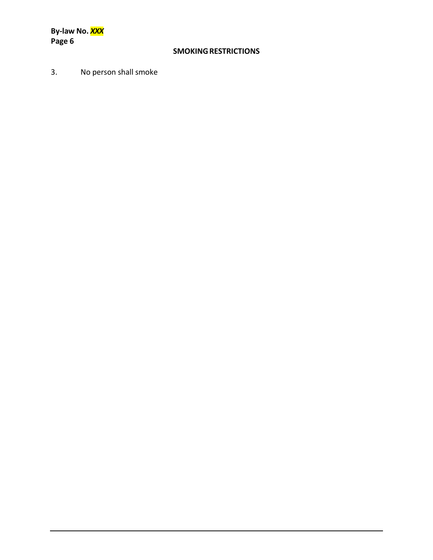**By‐law No.** *XXX* **Page 6**

## **SMOKINGRESTRICTIONS**

3. No person shall smoke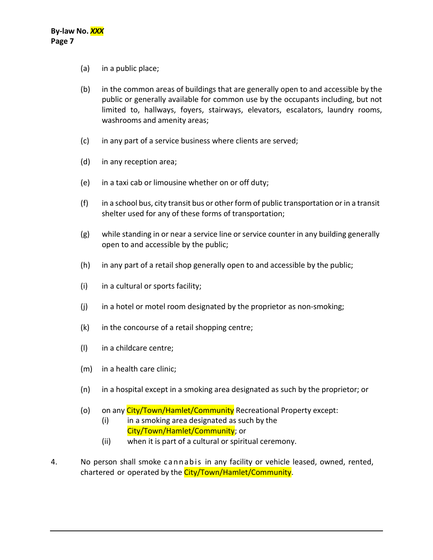- (a) in a public place;
- (b) in the common areas of buildings that are generally open to and accessible by the public or generally available for common use by the occupants including, but not limited to, hallways, foyers, stairways, elevators, escalators, laundry rooms, washrooms and amenity areas;
- (c) in any part of a service business where clients are served;
- (d) in any reception area;
- (e) in a taxi cab or limousine whether on or off duty;
- $(f)$  in a school bus, city transit bus or other form of public transportation or in a transit shelter used for any of these forms of transportation;
- (g) while standing in or near a service line or service counter in any building generally open to and accessible by the public;
- (h) in any part of a retail shop generally open to and accessible by the public;
- (i) in a cultural or sports facility;
- (j) in a hotel or motel room designated by the proprietor as non-smoking;
- (k) in the concourse of a retail shopping centre;
- (l) in a childcare centre;
- (m) in a health care clinic;
- (n) in a hospital except in a smoking area designated as such by the proprietor; or
- (o) on any City/Town/Hamlet/Community Recreational Property except:
	- (i) in a smoking area designated as such by the City/Town/Hamlet/Community; or
	- (ii) when it is part of a cultural or spiritual ceremony.
- 4. No person shall smoke cannabis in any facility or vehicle leased, owned, rented, chartered or operated by the City/Town/Hamlet/Community.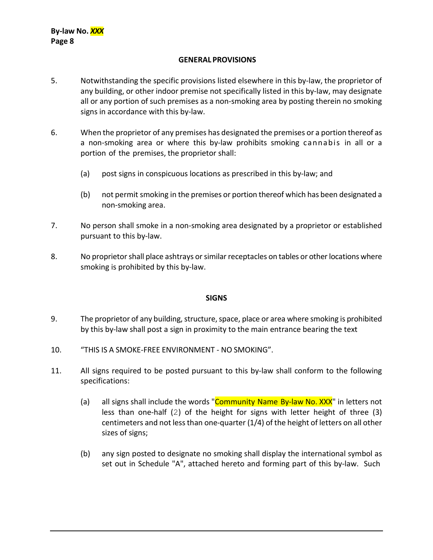### **GENERAL PROVISIONS**

- 5. Notwithstanding the specific provisions listed elsewhere in this by-law, the proprietor of any building, or other indoor premise not specifically listed in this by-law, may designate all or any portion of such premises as a non‐smoking area by posting therein no smoking signs in accordance with this by‐law.
- 6. When the proprietor of any premises has designated the premises or a portion thereof as a non‐smoking area or where this by‐law prohibits smoking cannabis in all or a portion of the premises, the proprietor shall:
	- (a) post signs in conspicuous locations as prescribed in this by‐law; and
	- (b) not permit smoking in the premises or portion thereof which has been designated a non‐smoking area.
- 7. No person shall smoke in a non‐smoking area designated by a proprietor or established pursuant to this by‐law.
- 8. No proprietor shall place ashtrays or similar receptacles on tables or other locations where smoking is prohibited by this by‐law.

#### **SIGNS**

- 9. The proprietor of any building, structure, space, place or area where smoking is prohibited by this by‐law shall post a sign in proximity to the main entrance bearing the text
- 10. "THIS IS A SMOKE‐FREE ENVIRONMENT ‐ NO SMOKING".
- 11. All signs required to be posted pursuant to this by‐law shall conform to the following specifications:
	- (a) all signs shall include the words " $Commonuity$  Name By-law No. XXX" in letters not less than one-half (2) of the height for signs with letter height of three (3) centimeters and not less than one-quarter (1/4) of the height of letters on all other sizes of signs;
	- (b) any sign posted to designate no smoking shall display the international symbol as set out in Schedule "A", attached hereto and forming part of this by-law. Such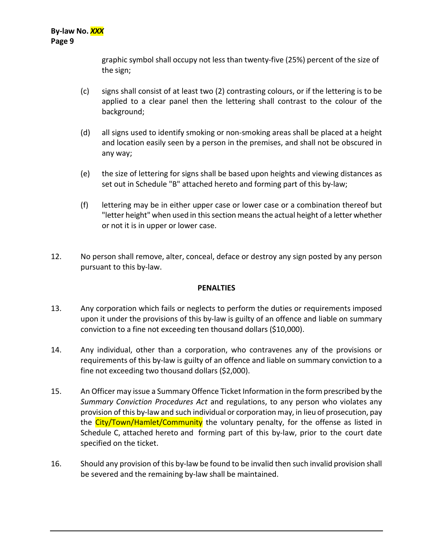graphic symbol shall occupy not less than twenty‐five (25%) percent of the size of the sign;

- (c) signs shall consist of at least two (2) contrasting colours, or if the lettering is to be applied to a clear panel then the lettering shall contrast to the colour of the background;
- (d) all signs used to identify smoking or non‐smoking areas shall be placed at a height and location easily seen by a person in the premises, and shall not be obscured in any way;
- (e) the size of lettering for signs shall be based upon heights and viewing distances as set out in Schedule "B" attached hereto and forming part of this by‐law;
- (f) lettering may be in either upper case or lower case or a combination thereof but "letter height" when used in this section means the actual height of a letter whether or not it is in upper or lower case.
- 12. No person shall remove, alter, conceal, deface or destroy any sign posted by any person pursuant to this by‐law.

## **PENALTIES**

- 13. Any corporation which fails or neglects to perform the duties or requirements imposed upon it under the provisions of this by-law is guilty of an offence and liable on summary conviction to a fine not exceeding ten thousand dollars (\$10,000).
- 14. Any individual, other than a corporation, who contravenes any of the provisions or requirements of this by-law is guilty of an offence and liable on summary conviction to a fine not exceeding two thousand dollars (\$2,000).
- 15. An Officer may issue a Summary Offence Ticket Information in the form prescribed by the *Summary Conviction Procedures Act* and regulations, to any person who violates any provision of this by‐law and such individual or corporation may, in lieu of prosecution, pay the City/Town/Hamlet/Community the voluntary penalty, for the offense as listed in Schedule C, attached hereto and forming part of this by-law, prior to the court date specified on the ticket.
- 16. Should any provision of this by-law be found to be invalid then such invalid provision shall be severed and the remaining by-law shall be maintained.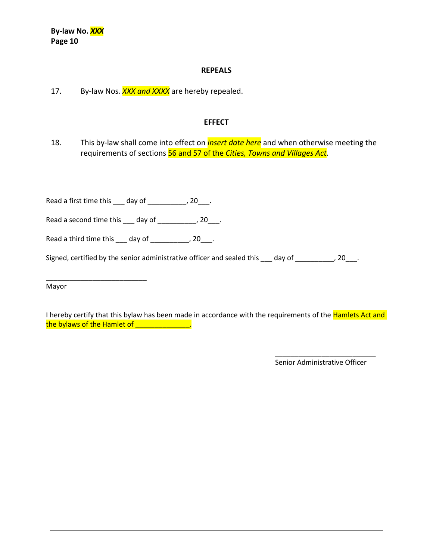#### **REPEALS**

17. By‐law Nos*. XXX and XXXX* are hereby repealed.

#### **EFFECT**

18. This by‐law shall come into effect on *insert date here* and when otherwise meeting the requirements of sections 56 and 57 of the *Cities, Towns and Villages Act*.

Read a first time this \_\_\_ day of \_\_\_\_\_\_\_\_\_\_, 20\_\_\_.

Read a second time this  $\_\_\_$  day of  $\_\_\_\_\_\_\_\_\$ , 20 $\_\_\_\.\$ 

Read a third time this  $\_\_\_$  day of  $\_\_\_\_\_\_\_\_\_\$  20 $\_\_\_\.\$ 

\_\_\_\_\_\_\_\_\_\_\_\_\_\_\_\_\_\_\_\_\_\_\_\_\_\_

Signed, certified by the senior administrative officer and sealed this  $\_\_\_$  day of  $\_\_\_\_\_\_\_$  20 $\_\_\_\$ .

Mayor

I hereby certify that this bylaw has been made in accordance with the requirements of the **Hamlets Act and** the bylaws of the Hamlet of \_\_\_\_\_\_\_\_\_\_\_\_\_\_.

> \_\_\_\_\_\_\_\_\_\_\_\_\_\_\_\_\_\_\_\_\_\_\_\_\_\_ Senior Administrative Officer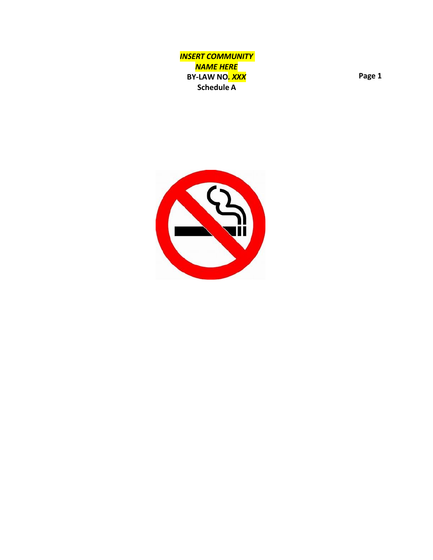*INSERT COMMUNITY NAME HERE* **BY ‐LAW NO** *. XXX* **Schedule A**

**Page 1**

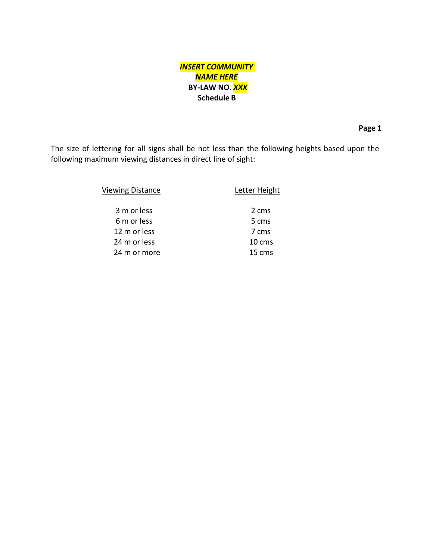# *INSERT COMMUNITY NAME HERE* **BY‐LAW NO.** *XXX* **Schedule B**

**Page 1**

The size of lettering for all signs shall be not less than the following heights based upon the following maximum viewing distances in direct line of sight:

| <b>Viewing Distance</b> | Letter Height       |
|-------------------------|---------------------|
| 3 m or less             | 2 cms               |
| 6 m or less             | 5 cms               |
| 12 m or less            | 7 cms               |
| 24 m or less            | 10 cms              |
| 24 m or more            | $15 \, \text{cm}$ s |